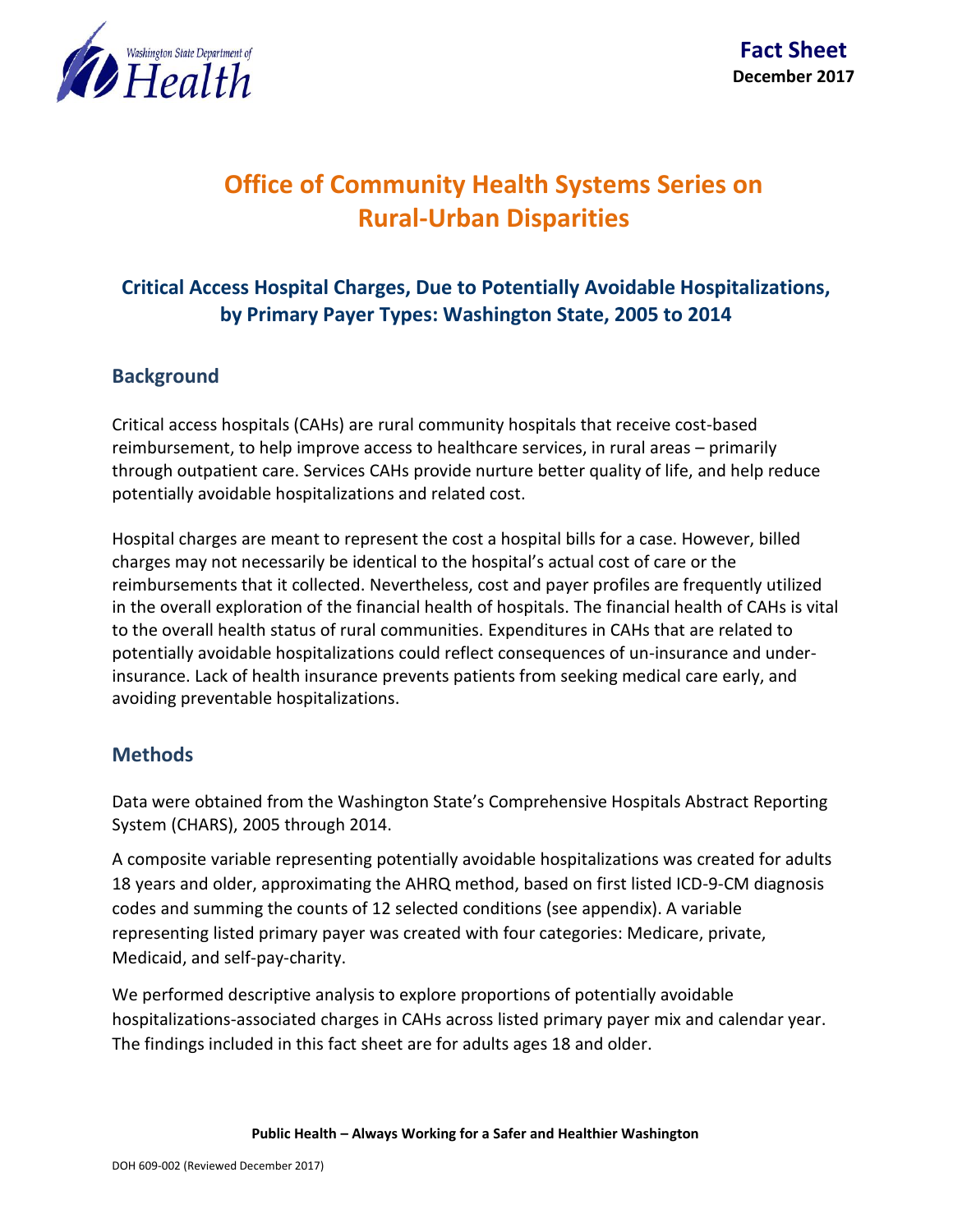

# **Office of Community Health Systems Series on Rural-Urban Disparities**

## **Critical Access Hospital Charges, Due to Potentially Avoidable Hospitalizations, by Primary Payer Types: Washington State, 2005 to 2014**

#### **Background**

Critical access hospitals (CAHs) are rural community hospitals that receive cost-based reimbursement, to help improve access to healthcare services, in rural areas – primarily through outpatient care. Services CAHs provide nurture better quality of life, and help reduce potentially avoidable hospitalizations and related cost.

Hospital charges are meant to represent the cost a hospital bills for a case. However, billed charges may not necessarily be identical to the hospital's actual cost of care or the reimbursements that it collected. Nevertheless, cost and payer profiles are frequently utilized in the overall exploration of the financial health of hospitals. The financial health of CAHs is vital to the overall health status of rural communities. Expenditures in CAHs that are related to potentially avoidable hospitalizations could reflect consequences of un-insurance and underinsurance. Lack of health insurance prevents patients from seeking medical care early, and avoiding preventable hospitalizations.

#### **Methods**

Data were obtained from the Washington State's Comprehensive Hospitals Abstract Reporting System (CHARS), 2005 through 2014.

A composite variable representing potentially avoidable hospitalizations was created for adults 18 years and older, approximating the AHRQ method, based on first listed ICD-9-CM diagnosis codes and summing the counts of 12 selected conditions (see appendix). A variable representing listed primary payer was created with four categories: Medicare, private, Medicaid, and self-pay-charity.

We performed descriptive analysis to explore proportions of potentially avoidable hospitalizations-associated charges in CAHs across listed primary payer mix and calendar year. The findings included in this fact sheet are for adults ages 18 and older.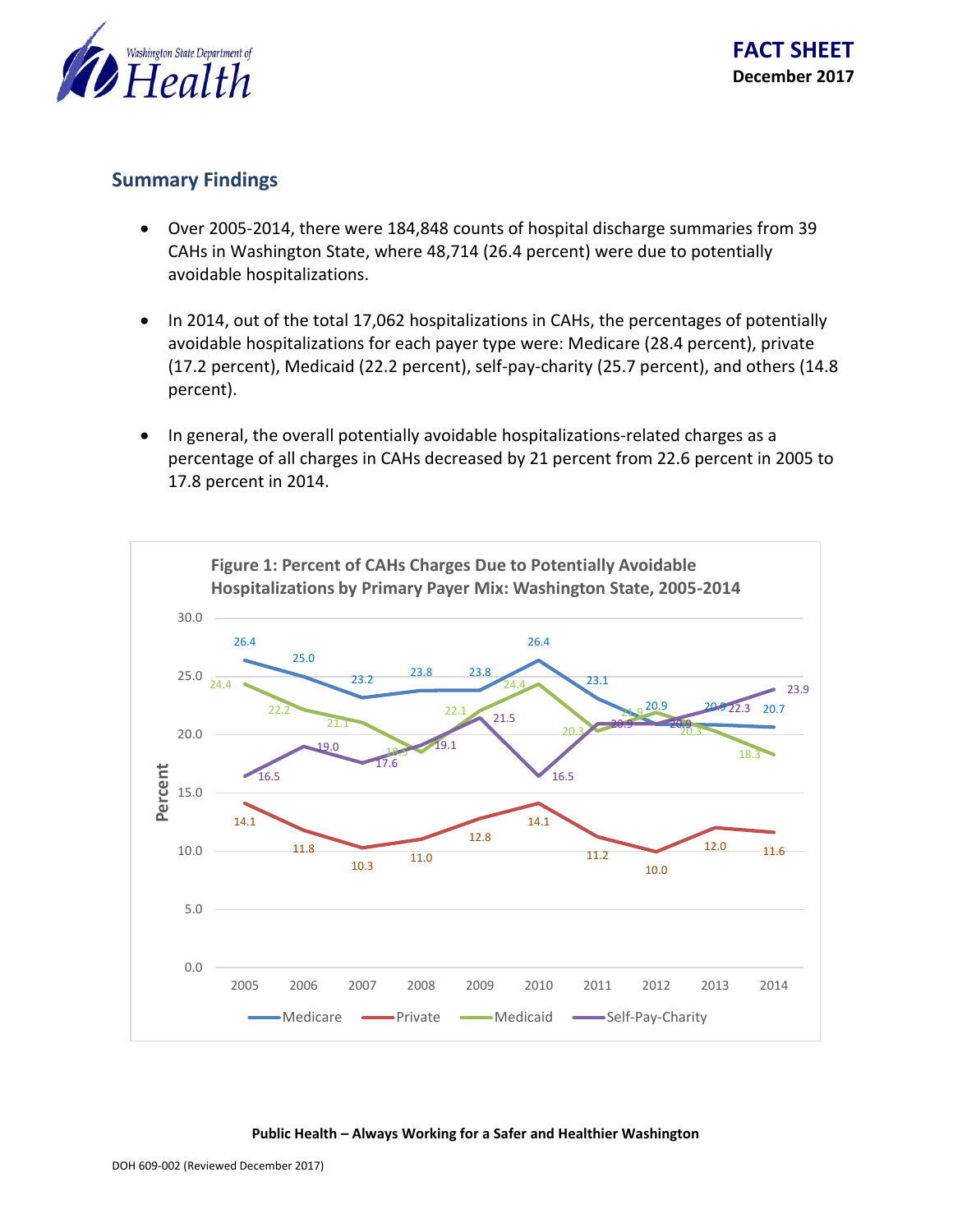

#### **Summary Findings**

- Over 2005-2014, there were 184,848 counts of hospital discharge summaries from 39 CAHs in Washington State, where 48,714 (26.4 percent) were due to potentially avoidable hospitalizations.
- In 2014, out of the total 17,062 hospitalizations in CAHs, the percentages of potentially avoidable hospitalizations for each payer type were: Medicare (28.4 percent), private (17.2 percent), Medicaid (22.2 percent), self-pay-charity (25.7 percent), and others (14.8 percent).
- In general, the overall potentially avoidable hospitalizations-related charges as a percentage of all charges in CAHs decreased by 21 percent from 22.6 percent in 2005 to 17.8 percent in 2014.



**Public Health – Always Working for a Safer and Healthier Washington**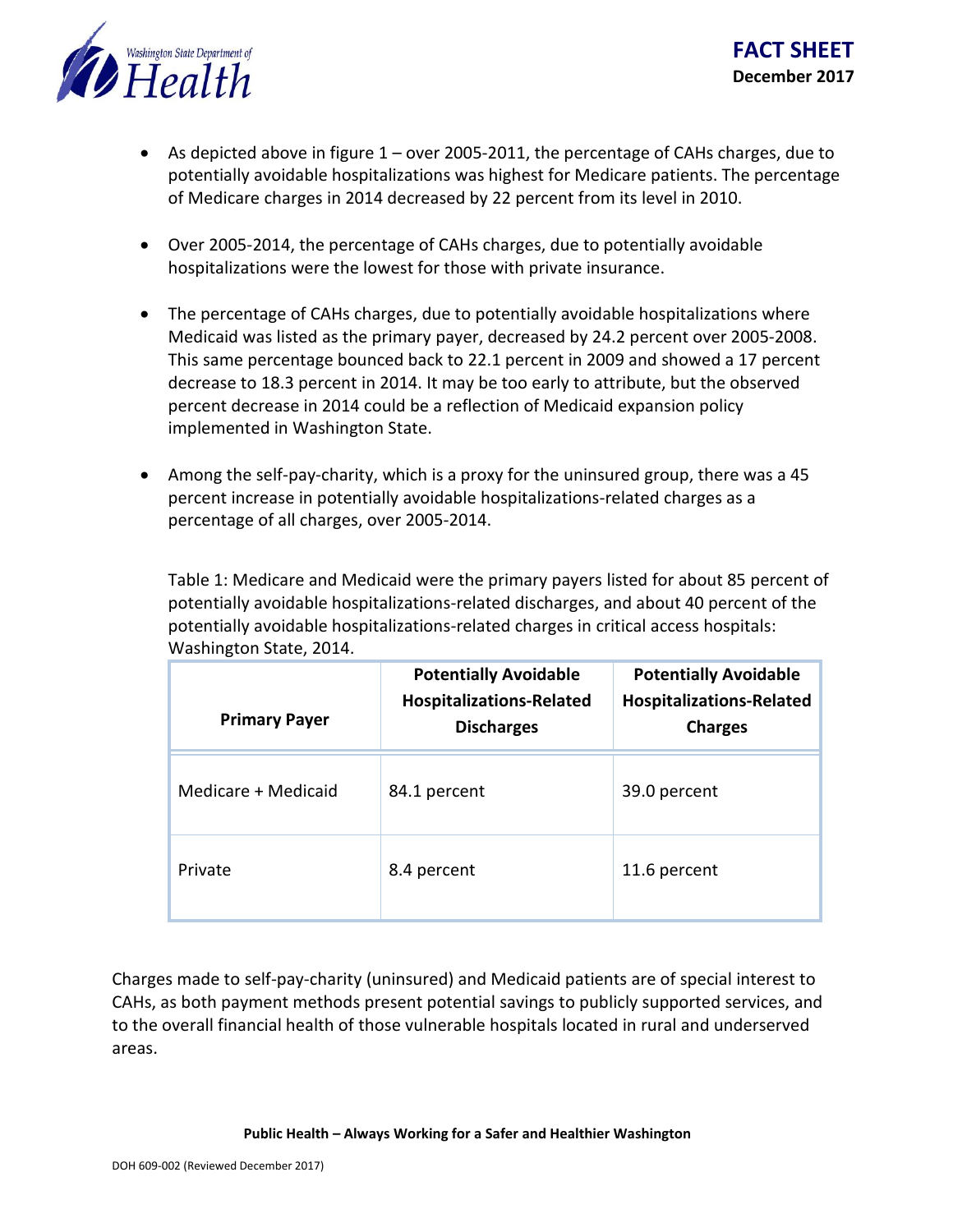

- As depicted above in figure  $1$  over 2005-2011, the percentage of CAHs charges, due to potentially avoidable hospitalizations was highest for Medicare patients. The percentage of Medicare charges in 2014 decreased by 22 percent from its level in 2010.
- Over 2005-2014, the percentage of CAHs charges, due to potentially avoidable hospitalizations were the lowest for those with private insurance.
- The percentage of CAHs charges, due to potentially avoidable hospitalizations where Medicaid was listed as the primary payer, decreased by 24.2 percent over 2005-2008. This same percentage bounced back to 22.1 percent in 2009 and showed a 17 percent decrease to 18.3 percent in 2014. It may be too early to attribute, but the observed percent decrease in 2014 could be a reflection of Medicaid expansion policy implemented in Washington State.
- Among the self-pay-charity, which is a proxy for the uninsured group, there was a 45 percent increase in potentially avoidable hospitalizations-related charges as a percentage of all charges, over 2005-2014.

Table 1: Medicare and Medicaid were the primary payers listed for about 85 percent of potentially avoidable hospitalizations-related discharges, and about 40 percent of the potentially avoidable hospitalizations-related charges in critical access hospitals: Washington State, 2014.

| <b>Primary Payer</b> | <b>Potentially Avoidable</b><br><b>Hospitalizations-Related</b><br><b>Discharges</b> | <b>Potentially Avoidable</b><br><b>Hospitalizations-Related</b><br><b>Charges</b> |
|----------------------|--------------------------------------------------------------------------------------|-----------------------------------------------------------------------------------|
| Medicare + Medicaid  | 84.1 percent                                                                         | 39.0 percent                                                                      |
| Private              | 8.4 percent                                                                          | 11.6 percent                                                                      |

Charges made to self-pay-charity (uninsured) and Medicaid patients are of special interest to CAHs, as both payment methods present potential savings to publicly supported services, and to the overall financial health of those vulnerable hospitals located in rural and underserved areas.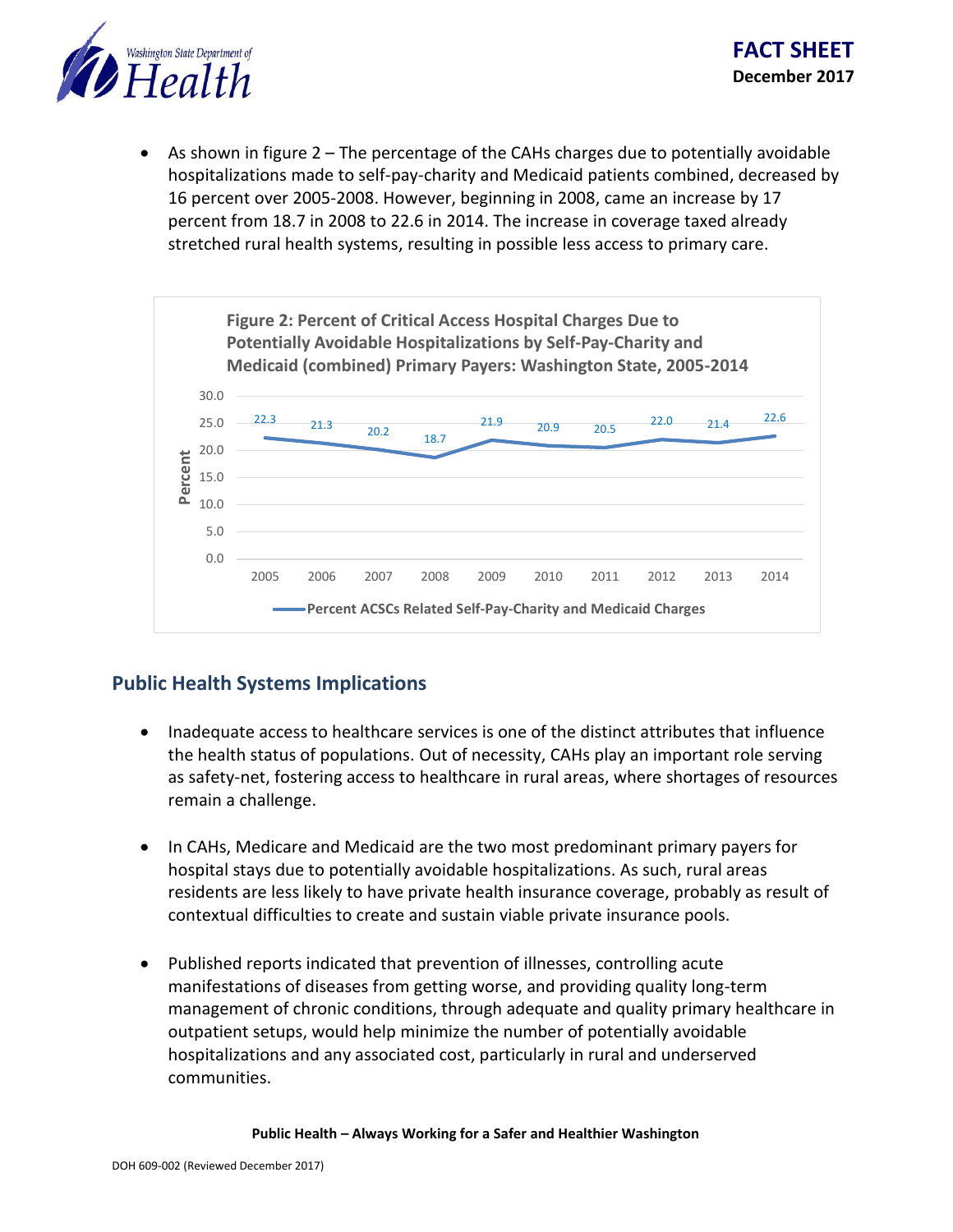

 As shown in figure 2 – The percentage of the CAHs charges due to potentially avoidable hospitalizations made to self-pay-charity and Medicaid patients combined, decreased by 16 percent over 2005-2008. However, beginning in 2008, came an increase by 17 percent from 18.7 in 2008 to 22.6 in 2014. The increase in coverage taxed already stretched rural health systems, resulting in possible less access to primary care.



### **Public Health Systems Implications**

- Inadequate access to healthcare services is one of the distinct attributes that influence the health status of populations. Out of necessity, CAHs play an important role serving as safety-net, fostering access to healthcare in rural areas, where shortages of resources remain a challenge.
- In CAHs, Medicare and Medicaid are the two most predominant primary payers for hospital stays due to potentially avoidable hospitalizations. As such, rural areas residents are less likely to have private health insurance coverage, probably as result of contextual difficulties to create and sustain viable private insurance pools.
- Published reports indicated that prevention of illnesses, controlling acute manifestations of diseases from getting worse, and providing quality long-term management of chronic conditions, through adequate and quality primary healthcare in outpatient setups, would help minimize the number of potentially avoidable hospitalizations and any associated cost, particularly in rural and underserved communities.